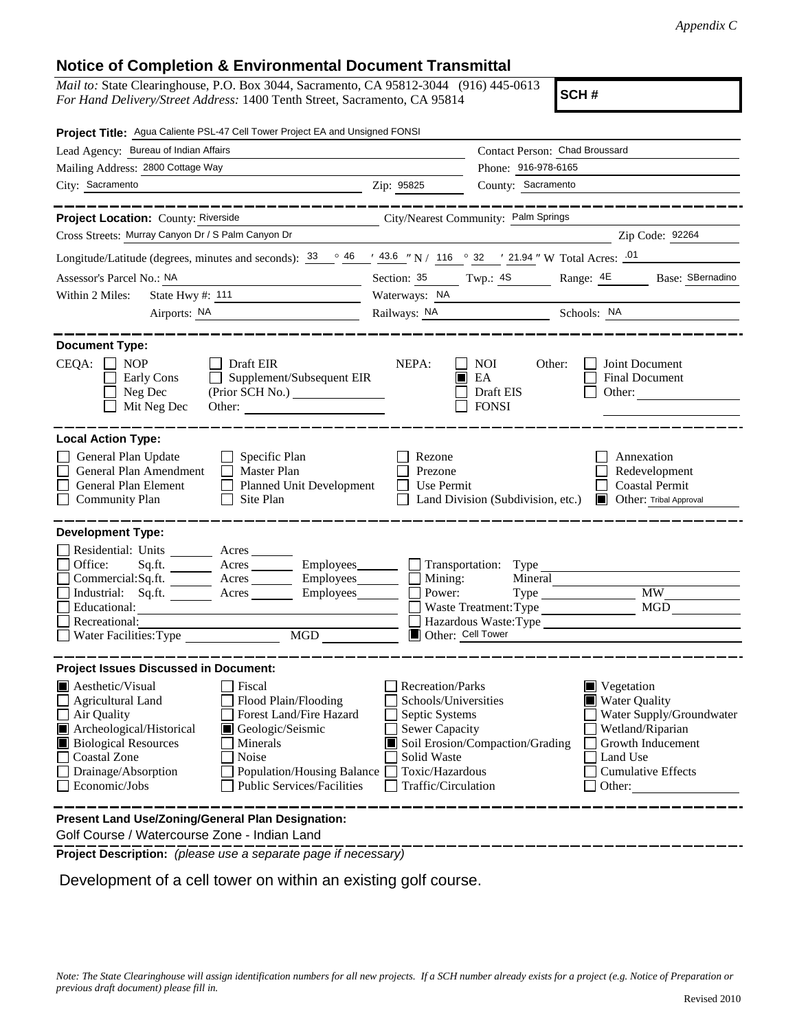## **Notice of Completion & Environmental Document Transmittal**

*Mail to:* State Clearinghouse, P.O. Box 3044, Sacramento, CA 95812-3044 (916) 445-0613 *For Hand Delivery/Street Address:* 1400 Tenth Street, Sacramento, CA 95814

**SCH #**

| Project Title: Agua Caliente PSL-47 Cell Tower Project EA and Unsigned FONSI                                                                                                                                                                                                                                                                                                                                      |                                                                                                                                       |                                                                               |                                                                                                                                                                           |  |
|-------------------------------------------------------------------------------------------------------------------------------------------------------------------------------------------------------------------------------------------------------------------------------------------------------------------------------------------------------------------------------------------------------------------|---------------------------------------------------------------------------------------------------------------------------------------|-------------------------------------------------------------------------------|---------------------------------------------------------------------------------------------------------------------------------------------------------------------------|--|
| Lead Agency: Bureau of Indian Affairs                                                                                                                                                                                                                                                                                                                                                                             |                                                                                                                                       | Contact Person: Chad Broussard                                                |                                                                                                                                                                           |  |
| Mailing Address: 2800 Cottage Way                                                                                                                                                                                                                                                                                                                                                                                 | Phone: 916-978-6165                                                                                                                   |                                                                               |                                                                                                                                                                           |  |
| City: Sacramento                                                                                                                                                                                                                                                                                                                                                                                                  | Zip: 95825                                                                                                                            | County: Sacramento                                                            |                                                                                                                                                                           |  |
|                                                                                                                                                                                                                                                                                                                                                                                                                   |                                                                                                                                       |                                                                               |                                                                                                                                                                           |  |
| Project Location: County: Riverside                                                                                                                                                                                                                                                                                                                                                                               |                                                                                                                                       | City/Nearest Community: Palm Springs                                          |                                                                                                                                                                           |  |
| Cross Streets: Murray Canyon Dr / S Palm Canyon Dr                                                                                                                                                                                                                                                                                                                                                                |                                                                                                                                       |                                                                               | Zip Code: 92264                                                                                                                                                           |  |
| Longitude/Latitude (degrees, minutes and seconds): $\frac{33}{9}$ $\frac{46}{9}$ $\frac{43.6}{9}$ N / 116 $\degree$ 32 $\degree$ 21.94 " W Total Acres: $\frac{01}{9}$                                                                                                                                                                                                                                            |                                                                                                                                       |                                                                               |                                                                                                                                                                           |  |
| Assessor's Parcel No.: NA                                                                                                                                                                                                                                                                                                                                                                                         |                                                                                                                                       |                                                                               | Section: 35 Twp.: 4S Range: 4E Base: SBernadino                                                                                                                           |  |
| State Hwy #: 111<br>Within 2 Miles:                                                                                                                                                                                                                                                                                                                                                                               | Waterways: NA                                                                                                                         |                                                                               |                                                                                                                                                                           |  |
| Airports: NA                                                                                                                                                                                                                                                                                                                                                                                                      |                                                                                                                                       | Railways: NA Schools: NA                                                      |                                                                                                                                                                           |  |
| <b>Document Type:</b><br>CEQA:<br>$\Box$ NOP<br>Draft EIR<br>Supplement/Subsequent EIR<br>Early Cons                                                                                                                                                                                                                                                                                                              | NEPA:                                                                                                                                 | <b>NOI</b><br>Other:<br>EA                                                    | Joint Document<br>Final Document                                                                                                                                          |  |
| Neg Dec<br>Mit Neg Dec<br>Other:                                                                                                                                                                                                                                                                                                                                                                                  |                                                                                                                                       | Draft EIS<br><b>FONSI</b>                                                     | Other:                                                                                                                                                                    |  |
| <b>Local Action Type:</b><br>General Plan Update<br>$\Box$ Specific Plan<br>General Plan Amendment<br>$\Box$ Master Plan<br>General Plan Element<br>Planned Unit Development<br>$\Box$ Site Plan<br><b>Community Plan</b>                                                                                                                                                                                         | Rezone<br>Prezone<br>Use Permit                                                                                                       | Land Division (Subdivision, etc.)                                             | Annexation<br>Redevelopment<br><b>Coastal Permit</b><br><b>Other:</b> Tribal Approval                                                                                     |  |
| <b>Development Type:</b><br>Residential: Units ______<br>Acres<br>Office:<br>Sq.fit.<br>Commercial:Sq.ft. Acres<br>Employees_____<br>Industrial: Sq.ft. _______ Acres ______<br>Employees_______<br>Educational:<br>Recreational:<br>MGD<br>Water Facilities: Type                                                                                                                                                | Mining:<br>Power:                                                                                                                     | Transportation: Type<br>Mineral<br>Waste Treatment: Type<br>Other: Cell Tower | <b>MW</b><br>MGD<br>Hazardous Waste:Type                                                                                                                                  |  |
| <b>Project Issues Discussed in Document:</b><br>$\blacksquare$ Aesthetic/Visual<br>Fiscal<br>Flood Plain/Flooding<br>Agricultural Land<br>Air Quality<br>Forest Land/Fire Hazard<br>Archeological/Historical<br>Geologic/Seismic<br><b>Biological Resources</b><br>Minerals<br>Coastal Zone<br>Noise<br>Drainage/Absorption<br>Population/Housing Balance [<br>Economic/Jobs<br><b>Public Services/Facilities</b> | Recreation/Parks<br>Schools/Universities<br>Septic Systems<br>Sewer Capacity<br>Solid Waste<br>Toxic/Hazardous<br>Traffic/Circulation | Soil Erosion/Compaction/Grading                                               | $\blacksquare$ Vegetation<br><b>Water Quality</b><br>Water Supply/Groundwater<br>Wetland/Riparian<br>Growth Inducement<br>Land Use<br><b>Cumulative Effects</b><br>Other: |  |
| <b>Present Land Use/Zoning/General Plan Designation:</b><br>Colf Course (Weterseurse Zone, Indian Lond                                                                                                                                                                                                                                                                                                            |                                                                                                                                       |                                                                               |                                                                                                                                                                           |  |

Golf Course / Watercourse Zone - Indian Land

**Project Description:** *(please use a separate page if necessary)*

Development of a cell tower on within an existing golf course.